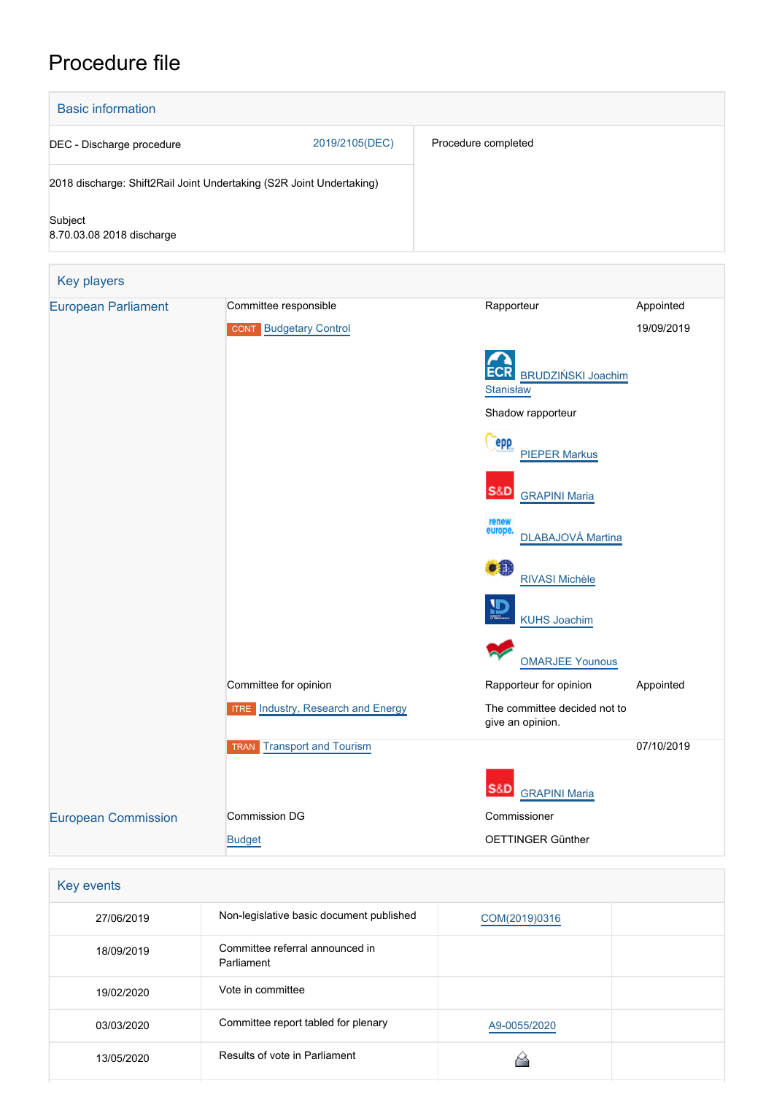# Procedure file



| Key events |                                               |               |  |
|------------|-----------------------------------------------|---------------|--|
| 27/06/2019 | Non-legislative basic document published      | COM(2019)0316 |  |
| 18/09/2019 | Committee referral announced in<br>Parliament |               |  |
| 19/02/2020 | Vote in committee                             |               |  |
| 03/03/2020 | Committee report tabled for plenary           | A9-0055/2020  |  |
| 13/05/2020 | Results of vote in Parliament                 |               |  |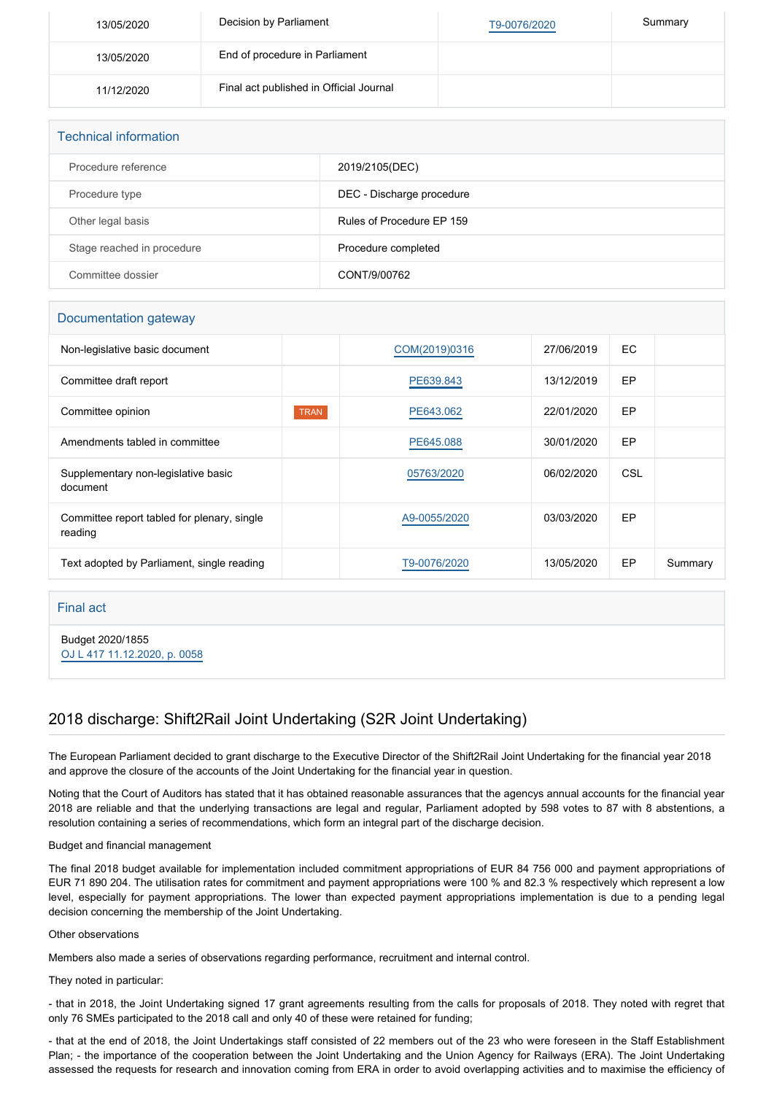| 13/05/2020 | Decision by Parliament                  | T9-0076/2020 | Summary |
|------------|-----------------------------------------|--------------|---------|
| 13/05/2020 | End of procedure in Parliament          |              |         |
| 11/12/2020 | Final act published in Official Journal |              |         |

| <b>Technical information</b> |                           |  |  |  |
|------------------------------|---------------------------|--|--|--|
| Procedure reference          | 2019/2105(DEC)            |  |  |  |
| Procedure type               | DEC - Discharge procedure |  |  |  |
| Other legal basis            | Rules of Procedure EP 159 |  |  |  |
| Stage reached in procedure   | Procedure completed       |  |  |  |
| Committee dossier            | CONT/9/00762              |  |  |  |

### Documentation gateway

| Non-legislative basic document                         |             | COM(2019)0316 | 27/06/2019 | EC. |         |
|--------------------------------------------------------|-------------|---------------|------------|-----|---------|
| Committee draft report                                 |             | PE639.843     | 13/12/2019 | EP  |         |
| Committee opinion                                      | <b>TRAN</b> | PE643.062     | 22/01/2020 | EP  |         |
| Amendments tabled in committee                         |             | PE645,088     | 30/01/2020 | EP  |         |
| Supplementary non-legislative basic<br>document        |             | 05763/2020    | 06/02/2020 | CSL |         |
| Committee report tabled for plenary, single<br>reading |             | A9-0055/2020  | 03/03/2020 | EP  |         |
| Text adopted by Parliament, single reading             |             | T9-0076/2020  | 13/05/2020 | EP  | Summary |

### Final act

Budget 2020/1855 [OJ L 417 11.12.2020, p. 0058](https://eur-lex.europa.eu/legal-content/EN/TXT/?uri=OJ:L:2020:417:TOC)

## 2018 discharge: Shift2Rail Joint Undertaking (S2R Joint Undertaking)

The European Parliament decided to grant discharge to the Executive Director of the Shift2Rail Joint Undertaking for the financial year 2018 and approve the closure of the accounts of the Joint Undertaking for the financial year in question.

Noting that the Court of Auditors has stated that it has obtained reasonable assurances that the agencys annual accounts for the financial year 2018 are reliable and that the underlying transactions are legal and regular, Parliament adopted by 598 votes to 87 with 8 abstentions, a resolution containing a series of recommendations, which form an integral part of the discharge decision.

### Budget and financial management

The final 2018 budget available for implementation included commitment appropriations of EUR 84 756 000 and payment appropriations of EUR 71 890 204. The utilisation rates for commitment and payment appropriations were 100 % and 82.3 % respectively which represent a low level, especially for payment appropriations. The lower than expected payment appropriations implementation is due to a pending legal decision concerning the membership of the Joint Undertaking.

### Other observations

Members also made a series of observations regarding performance, recruitment and internal control.

#### They noted in particular:

- that in 2018, the Joint Undertaking signed 17 grant agreements resulting from the calls for proposals of 2018. They noted with regret that only 76 SMEs participated to the 2018 call and only 40 of these were retained for funding;

- that at the end of 2018, the Joint Undertakings staff consisted of 22 members out of the 23 who were foreseen in the Staff Establishment Plan; - the importance of the cooperation between the Joint Undertaking and the Union Agency for Railways (ERA). The Joint Undertaking assessed the requests for research and innovation coming from ERA in order to avoid overlapping activities and to maximise the efficiency of